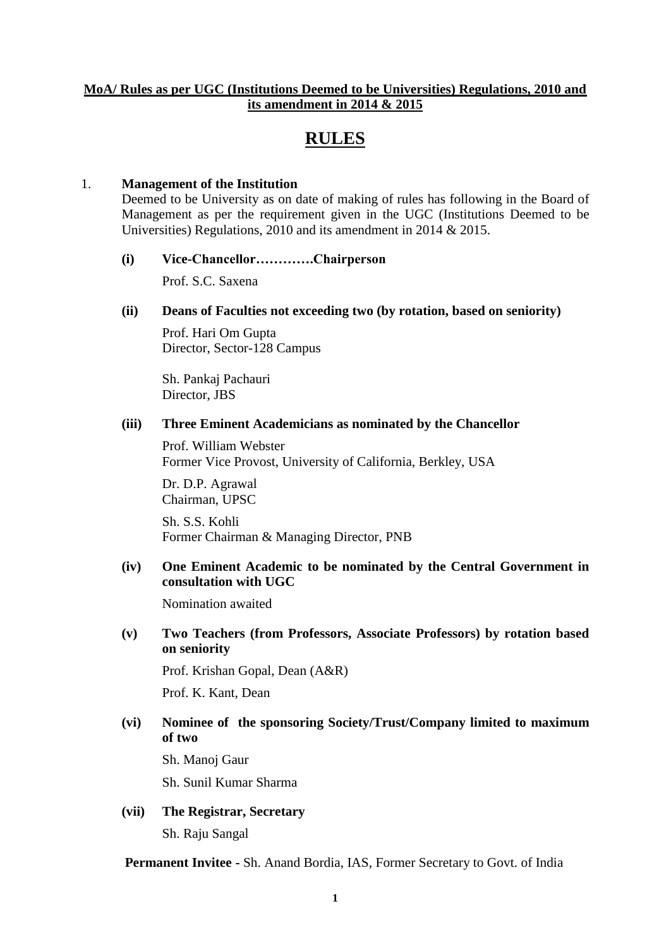## **MoA/ Rules as per UGC (Institutions Deemed to be Universities) Regulations, 2010 and its amendment in 2014 & 2015**

# **RULES**

# 1. **Management of the Institution**

Deemed to be University as on date of making of rules has following in the Board of Management as per the requirement given in the UGC (Institutions Deemed to be Universities) Regulations, 2010 and its amendment in 2014 & 2015.

#### **(i) Vice-Chancellor………….Chairperson**

Prof. S.C. Saxena

## **(ii) Deans of Faculties not exceeding two (by rotation, based on seniority)**

Prof. Hari Om Gupta Director, Sector-128 Campus

Sh. Pankaj Pachauri Director, JBS

#### **(iii) Three Eminent Academicians as nominated by the Chancellor**

Prof. William Webster Former Vice Provost, University of California, Berkley, USA

Dr. D.P. Agrawal Chairman, UPSC

Sh. S.S. Kohli Former Chairman & Managing Director, PNB

## **(iv) One Eminent Academic to be nominated by the Central Government in consultation with UGC**

Nomination awaited

# **(v) Two Teachers (from Professors, Associate Professors) by rotation based on seniority**

Prof. Krishan Gopal, Dean (A&R) Prof. K. Kant, Dean

## **(vi) Nominee of the sponsoring Society/Trust/Company limited to maximum of two**

Sh. Manoj Gaur

Sh. Sunil Kumar Sharma

**(vii) The Registrar, Secretary** Sh. Raju Sangal

**Permanent Invitee -** Sh. Anand Bordia, IAS, Former Secretary to Govt. of India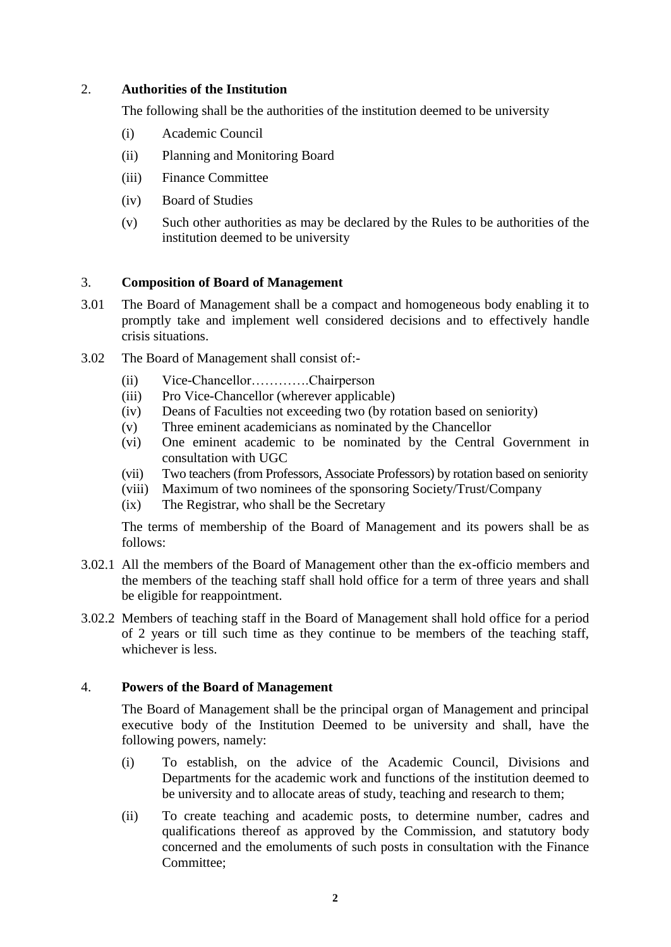### 2. **Authorities of the Institution**

The following shall be the authorities of the institution deemed to be university

- (i) Academic Council
- (ii) Planning and Monitoring Board
- (iii) Finance Committee
- (iv) Board of Studies
- (v) Such other authorities as may be declared by the Rules to be authorities of the institution deemed to be university

## 3. **Composition of Board of Management**

- 3.01 The Board of Management shall be a compact and homogeneous body enabling it to promptly take and implement well considered decisions and to effectively handle crisis situations.
- 3.02 The Board of Management shall consist of:-
	- (ii) Vice-Chancellor………….Chairperson
	- (iii) Pro Vice-Chancellor (wherever applicable)
	- (iv) Deans of Faculties not exceeding two (by rotation based on seniority)
	- (v) Three eminent academicians as nominated by the Chancellor
	- (vi) One eminent academic to be nominated by the Central Government in consultation with UGC
	- (vii) Two teachers (from Professors, Associate Professors) by rotation based on seniority
	- (viii) Maximum of two nominees of the sponsoring Society/Trust/Company
	- (ix) The Registrar, who shall be the Secretary

The terms of membership of the Board of Management and its powers shall be as follows:

- 3.02.1 All the members of the Board of Management other than the ex-officio members and the members of the teaching staff shall hold office for a term of three years and shall be eligible for reappointment.
- 3.02.2 Members of teaching staff in the Board of Management shall hold office for a period of 2 years or till such time as they continue to be members of the teaching staff, whichever is less.

#### 4. **Powers of the Board of Management**

The Board of Management shall be the principal organ of Management and principal executive body of the Institution Deemed to be university and shall, have the following powers, namely:

- (i) To establish, on the advice of the Academic Council, Divisions and Departments for the academic work and functions of the institution deemed to be university and to allocate areas of study, teaching and research to them;
- (ii) To create teaching and academic posts, to determine number, cadres and qualifications thereof as approved by the Commission, and statutory body concerned and the emoluments of such posts in consultation with the Finance Committee;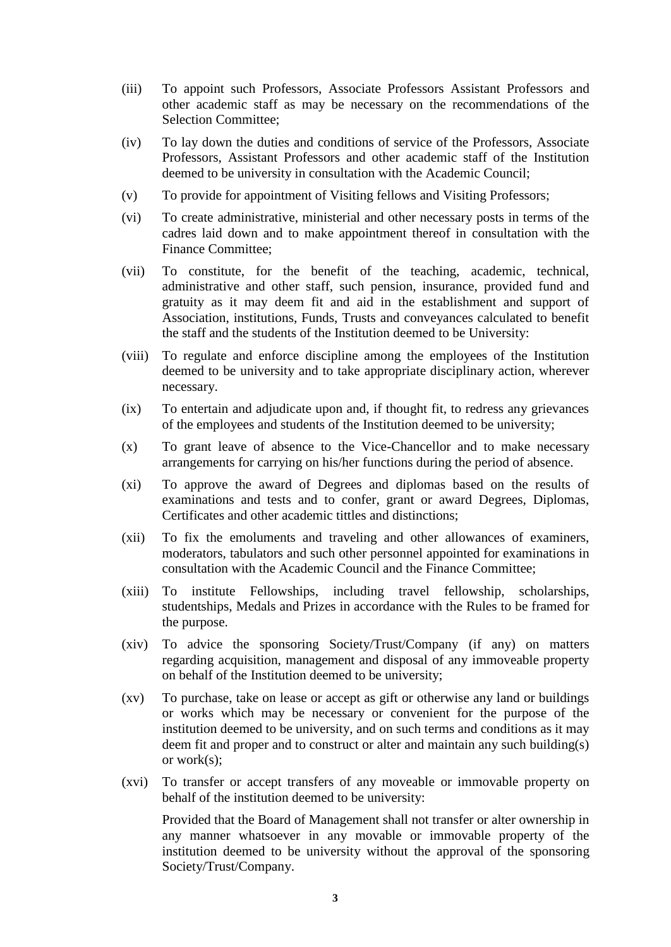- (iii) To appoint such Professors, Associate Professors Assistant Professors and other academic staff as may be necessary on the recommendations of the Selection Committee;
- (iv) To lay down the duties and conditions of service of the Professors, Associate Professors, Assistant Professors and other academic staff of the Institution deemed to be university in consultation with the Academic Council;
- (v) To provide for appointment of Visiting fellows and Visiting Professors;
- (vi) To create administrative, ministerial and other necessary posts in terms of the cadres laid down and to make appointment thereof in consultation with the Finance Committee;
- (vii) To constitute, for the benefit of the teaching, academic, technical, administrative and other staff, such pension, insurance, provided fund and gratuity as it may deem fit and aid in the establishment and support of Association, institutions, Funds, Trusts and conveyances calculated to benefit the staff and the students of the Institution deemed to be University:
- (viii) To regulate and enforce discipline among the employees of the Institution deemed to be university and to take appropriate disciplinary action, wherever necessary.
- (ix) To entertain and adjudicate upon and, if thought fit, to redress any grievances of the employees and students of the Institution deemed to be university;
- (x) To grant leave of absence to the Vice-Chancellor and to make necessary arrangements for carrying on his/her functions during the period of absence.
- (xi) To approve the award of Degrees and diplomas based on the results of examinations and tests and to confer, grant or award Degrees, Diplomas, Certificates and other academic tittles and distinctions;
- (xii) To fix the emoluments and traveling and other allowances of examiners, moderators, tabulators and such other personnel appointed for examinations in consultation with the Academic Council and the Finance Committee;
- (xiii) To institute Fellowships, including travel fellowship, scholarships, studentships, Medals and Prizes in accordance with the Rules to be framed for the purpose.
- (xiv) To advice the sponsoring Society/Trust/Company (if any) on matters regarding acquisition, management and disposal of any immoveable property on behalf of the Institution deemed to be university;
- (xv) To purchase, take on lease or accept as gift or otherwise any land or buildings or works which may be necessary or convenient for the purpose of the institution deemed to be university, and on such terms and conditions as it may deem fit and proper and to construct or alter and maintain any such building(s) or work(s);
- (xvi) To transfer or accept transfers of any moveable or immovable property on behalf of the institution deemed to be university:

Provided that the Board of Management shall not transfer or alter ownership in any manner whatsoever in any movable or immovable property of the institution deemed to be university without the approval of the sponsoring Society/Trust/Company.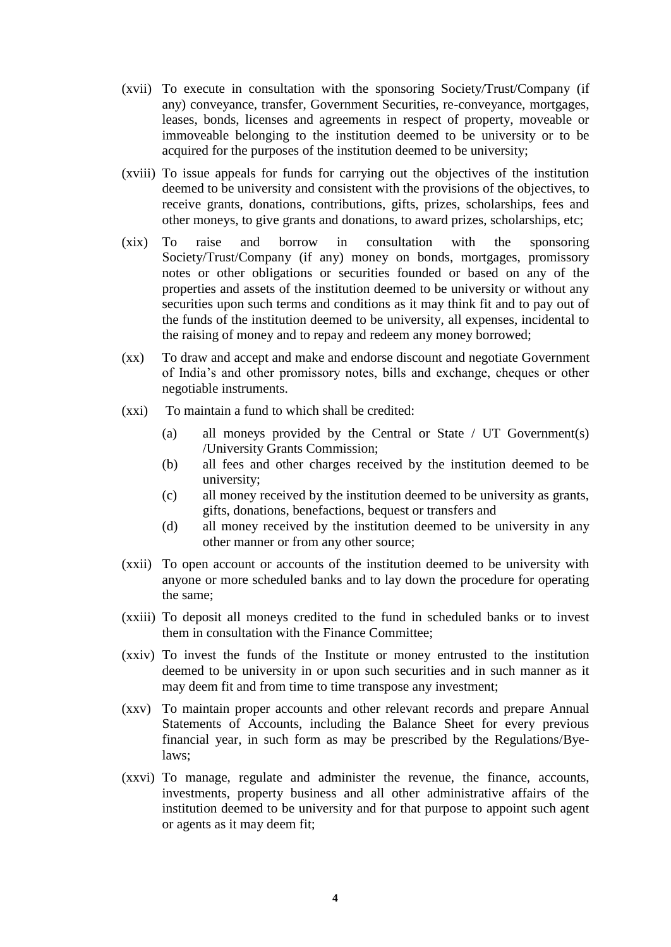- (xvii) To execute in consultation with the sponsoring Society/Trust/Company (if any) conveyance, transfer, Government Securities, re-conveyance, mortgages, leases, bonds, licenses and agreements in respect of property, moveable or immoveable belonging to the institution deemed to be university or to be acquired for the purposes of the institution deemed to be university;
- (xviii) To issue appeals for funds for carrying out the objectives of the institution deemed to be university and consistent with the provisions of the objectives, to receive grants, donations, contributions, gifts, prizes, scholarships, fees and other moneys, to give grants and donations, to award prizes, scholarships, etc;
- (xix) To raise and borrow in consultation with the sponsoring Society/Trust/Company (if any) money on bonds, mortgages, promissory notes or other obligations or securities founded or based on any of the properties and assets of the institution deemed to be university or without any securities upon such terms and conditions as it may think fit and to pay out of the funds of the institution deemed to be university, all expenses, incidental to the raising of money and to repay and redeem any money borrowed;
- (xx) To draw and accept and make and endorse discount and negotiate Government of India's and other promissory notes, bills and exchange, cheques or other negotiable instruments.
- (xxi) To maintain a fund to which shall be credited:
	- (a) all moneys provided by the Central or State / UT Government(s) /University Grants Commission;
	- (b) all fees and other charges received by the institution deemed to be university;
	- (c) all money received by the institution deemed to be university as grants, gifts, donations, benefactions, bequest or transfers and
	- (d) all money received by the institution deemed to be university in any other manner or from any other source;
- (xxii) To open account or accounts of the institution deemed to be university with anyone or more scheduled banks and to lay down the procedure for operating the same;
- (xxiii) To deposit all moneys credited to the fund in scheduled banks or to invest them in consultation with the Finance Committee;
- (xxiv) To invest the funds of the Institute or money entrusted to the institution deemed to be university in or upon such securities and in such manner as it may deem fit and from time to time transpose any investment;
- (xxv) To maintain proper accounts and other relevant records and prepare Annual Statements of Accounts, including the Balance Sheet for every previous financial year, in such form as may be prescribed by the Regulations/Byelaws;
- (xxvi) To manage, regulate and administer the revenue, the finance, accounts, investments, property business and all other administrative affairs of the institution deemed to be university and for that purpose to appoint such agent or agents as it may deem fit;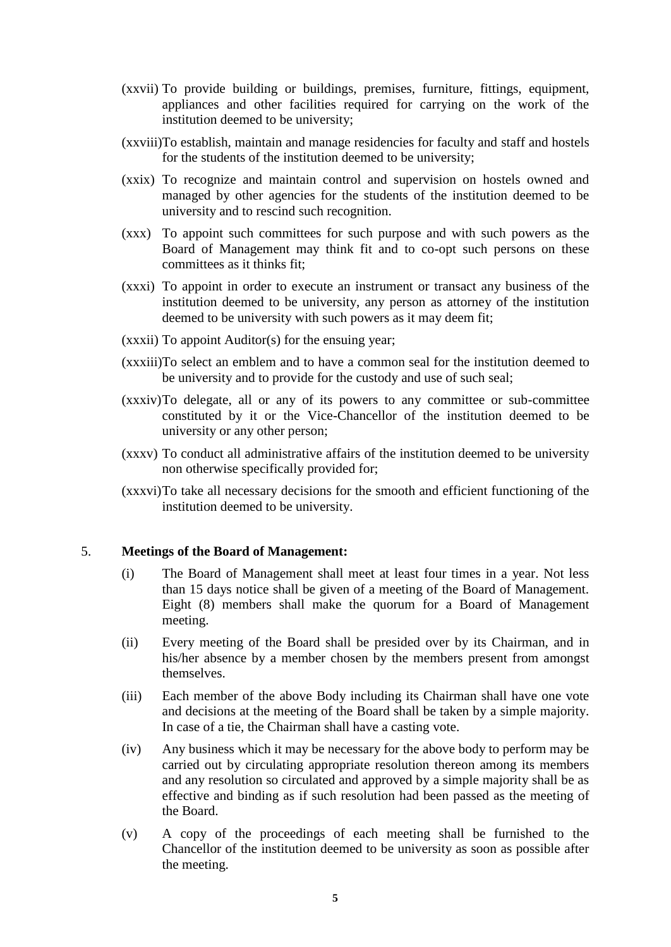- (xxvii) To provide building or buildings, premises, furniture, fittings, equipment, appliances and other facilities required for carrying on the work of the institution deemed to be university;
- (xxviii)To establish, maintain and manage residencies for faculty and staff and hostels for the students of the institution deemed to be university;
- (xxix) To recognize and maintain control and supervision on hostels owned and managed by other agencies for the students of the institution deemed to be university and to rescind such recognition.
- (xxx) To appoint such committees for such purpose and with such powers as the Board of Management may think fit and to co-opt such persons on these committees as it thinks fit;
- (xxxi) To appoint in order to execute an instrument or transact any business of the institution deemed to be university, any person as attorney of the institution deemed to be university with such powers as it may deem fit;
- (xxxii) To appoint Auditor(s) for the ensuing year;
- (xxxiii)To select an emblem and to have a common seal for the institution deemed to be university and to provide for the custody and use of such seal;
- (xxxiv)To delegate, all or any of its powers to any committee or sub-committee constituted by it or the Vice-Chancellor of the institution deemed to be university or any other person;
- (xxxv) To conduct all administrative affairs of the institution deemed to be university non otherwise specifically provided for;
- (xxxvi)To take all necessary decisions for the smooth and efficient functioning of the institution deemed to be university.

#### 5. **Meetings of the Board of Management:**

- (i) The Board of Management shall meet at least four times in a year. Not less than 15 days notice shall be given of a meeting of the Board of Management. Eight (8) members shall make the quorum for a Board of Management meeting.
- (ii) Every meeting of the Board shall be presided over by its Chairman, and in his/her absence by a member chosen by the members present from amongst themselves.
- (iii) Each member of the above Body including its Chairman shall have one vote and decisions at the meeting of the Board shall be taken by a simple majority. In case of a tie, the Chairman shall have a casting vote.
- (iv) Any business which it may be necessary for the above body to perform may be carried out by circulating appropriate resolution thereon among its members and any resolution so circulated and approved by a simple majority shall be as effective and binding as if such resolution had been passed as the meeting of the Board.
- (v) A copy of the proceedings of each meeting shall be furnished to the Chancellor of the institution deemed to be university as soon as possible after the meeting.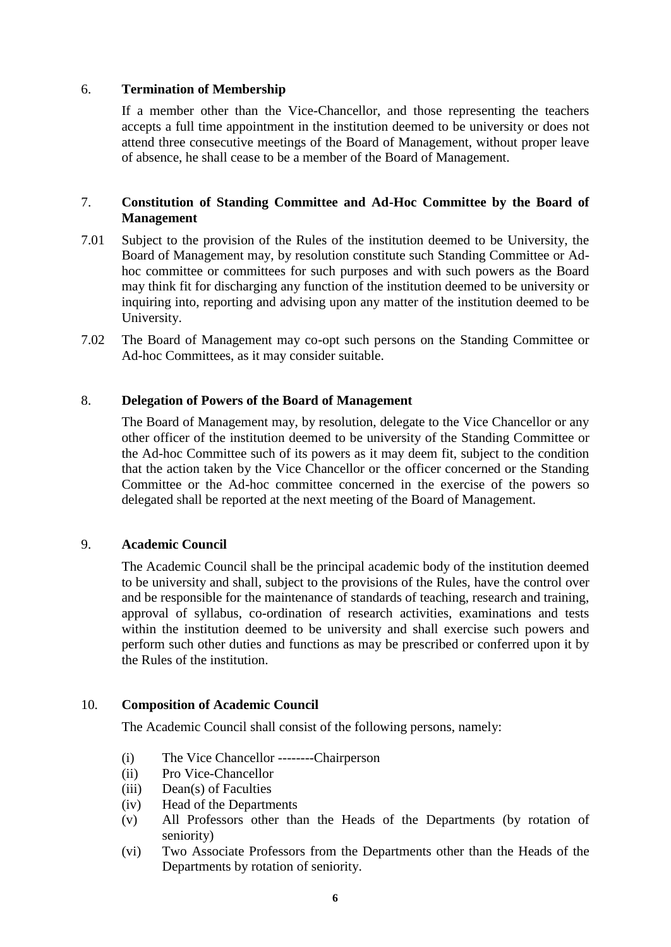#### 6. **Termination of Membership**

If a member other than the Vice-Chancellor, and those representing the teachers accepts a full time appointment in the institution deemed to be university or does not attend three consecutive meetings of the Board of Management, without proper leave of absence, he shall cease to be a member of the Board of Management.

## 7. **Constitution of Standing Committee and Ad-Hoc Committee by the Board of Management**

- 7.01 Subject to the provision of the Rules of the institution deemed to be University, the Board of Management may, by resolution constitute such Standing Committee or Adhoc committee or committees for such purposes and with such powers as the Board may think fit for discharging any function of the institution deemed to be university or inquiring into, reporting and advising upon any matter of the institution deemed to be University.
- 7.02 The Board of Management may co-opt such persons on the Standing Committee or Ad-hoc Committees, as it may consider suitable.

#### 8. **Delegation of Powers of the Board of Management**

The Board of Management may, by resolution, delegate to the Vice Chancellor or any other officer of the institution deemed to be university of the Standing Committee or the Ad-hoc Committee such of its powers as it may deem fit, subject to the condition that the action taken by the Vice Chancellor or the officer concerned or the Standing Committee or the Ad-hoc committee concerned in the exercise of the powers so delegated shall be reported at the next meeting of the Board of Management.

#### 9. **Academic Council**

The Academic Council shall be the principal academic body of the institution deemed to be university and shall, subject to the provisions of the Rules, have the control over and be responsible for the maintenance of standards of teaching, research and training, approval of syllabus, co-ordination of research activities, examinations and tests within the institution deemed to be university and shall exercise such powers and perform such other duties and functions as may be prescribed or conferred upon it by the Rules of the institution.

#### 10. **Composition of Academic Council**

The Academic Council shall consist of the following persons, namely:

- (i) The Vice Chancellor --------Chairperson
- (ii) Pro Vice-Chancellor
- (iii) Dean(s) of Faculties
- (iv) Head of the Departments
- (v) All Professors other than the Heads of the Departments (by rotation of seniority)
- (vi) Two Associate Professors from the Departments other than the Heads of the Departments by rotation of seniority.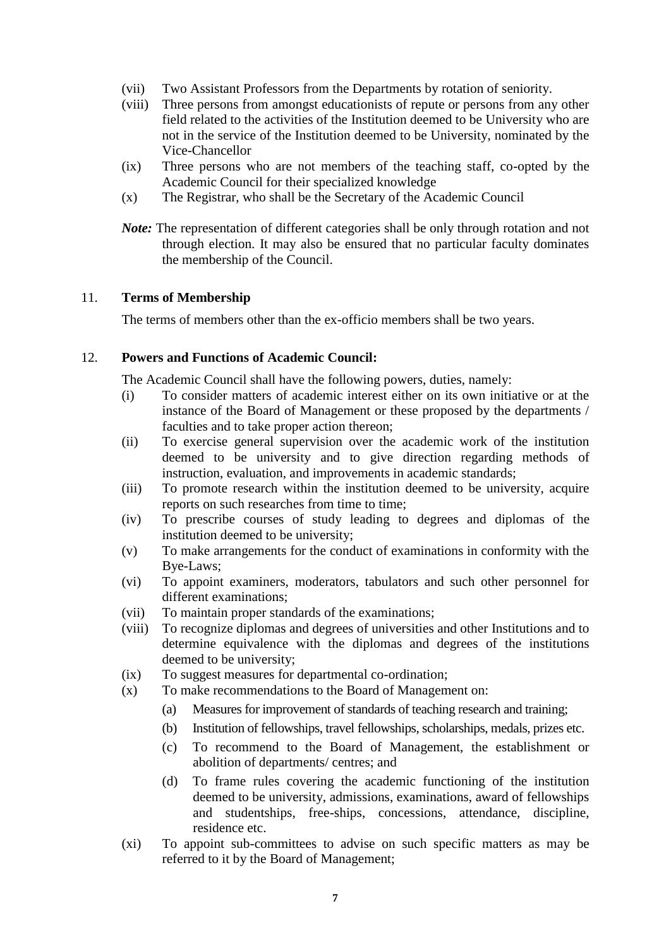- (vii) Two Assistant Professors from the Departments by rotation of seniority.
- (viii) Three persons from amongst educationists of repute or persons from any other field related to the activities of the Institution deemed to be University who are not in the service of the Institution deemed to be University, nominated by the Vice-Chancellor
- (ix) Three persons who are not members of the teaching staff, co-opted by the Academic Council for their specialized knowledge
- (x) The Registrar, who shall be the Secretary of the Academic Council
- *Note:* The representation of different categories shall be only through rotation and not through election. It may also be ensured that no particular faculty dominates the membership of the Council.

#### 11. **Terms of Membership**

The terms of members other than the ex-officio members shall be two years.

## 12. **Powers and Functions of Academic Council:**

The Academic Council shall have the following powers, duties, namely:

- (i) To consider matters of academic interest either on its own initiative or at the instance of the Board of Management or these proposed by the departments / faculties and to take proper action thereon;
- (ii) To exercise general supervision over the academic work of the institution deemed to be university and to give direction regarding methods of instruction, evaluation, and improvements in academic standards;
- (iii) To promote research within the institution deemed to be university, acquire reports on such researches from time to time;
- (iv) To prescribe courses of study leading to degrees and diplomas of the institution deemed to be university;
- (v) To make arrangements for the conduct of examinations in conformity with the Bye-Laws;
- (vi) To appoint examiners, moderators, tabulators and such other personnel for different examinations;
- (vii) To maintain proper standards of the examinations;
- (viii) To recognize diplomas and degrees of universities and other Institutions and to determine equivalence with the diplomas and degrees of the institutions deemed to be university;
- (ix) To suggest measures for departmental co-ordination;
- (x) To make recommendations to the Board of Management on:
	- (a) Measures for improvement of standards of teaching research and training;
	- (b) Institution of fellowships, travel fellowships, scholarships, medals, prizes etc.
	- (c) To recommend to the Board of Management, the establishment or abolition of departments/ centres; and
	- (d) To frame rules covering the academic functioning of the institution deemed to be university, admissions, examinations, award of fellowships and studentships, free-ships, concessions, attendance, discipline, residence etc.
- (xi) To appoint sub-committees to advise on such specific matters as may be referred to it by the Board of Management;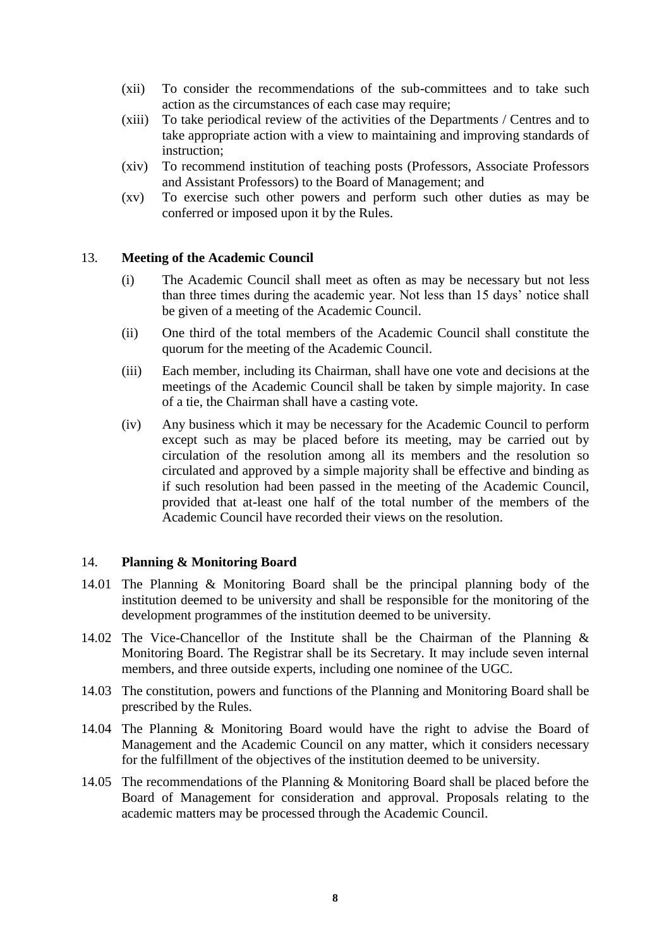- (xii) To consider the recommendations of the sub-committees and to take such action as the circumstances of each case may require;
- (xiii) To take periodical review of the activities of the Departments / Centres and to take appropriate action with a view to maintaining and improving standards of instruction;
- (xiv) To recommend institution of teaching posts (Professors, Associate Professors and Assistant Professors) to the Board of Management; and
- (xv) To exercise such other powers and perform such other duties as may be conferred or imposed upon it by the Rules.

#### 13. **Meeting of the Academic Council**

- (i) The Academic Council shall meet as often as may be necessary but not less than three times during the academic year. Not less than 15 days' notice shall be given of a meeting of the Academic Council.
- (ii) One third of the total members of the Academic Council shall constitute the quorum for the meeting of the Academic Council.
- (iii) Each member, including its Chairman, shall have one vote and decisions at the meetings of the Academic Council shall be taken by simple majority. In case of a tie, the Chairman shall have a casting vote.
- (iv) Any business which it may be necessary for the Academic Council to perform except such as may be placed before its meeting, may be carried out by circulation of the resolution among all its members and the resolution so circulated and approved by a simple majority shall be effective and binding as if such resolution had been passed in the meeting of the Academic Council, provided that at-least one half of the total number of the members of the Academic Council have recorded their views on the resolution.

#### 14. **Planning & Monitoring Board**

- 14.01 The Planning & Monitoring Board shall be the principal planning body of the institution deemed to be university and shall be responsible for the monitoring of the development programmes of the institution deemed to be university.
- 14.02 The Vice-Chancellor of the Institute shall be the Chairman of the Planning & Monitoring Board. The Registrar shall be its Secretary. It may include seven internal members, and three outside experts, including one nominee of the UGC.
- 14.03 The constitution, powers and functions of the Planning and Monitoring Board shall be prescribed by the Rules.
- 14.04 The Planning & Monitoring Board would have the right to advise the Board of Management and the Academic Council on any matter, which it considers necessary for the fulfillment of the objectives of the institution deemed to be university.
- 14.05 The recommendations of the Planning & Monitoring Board shall be placed before the Board of Management for consideration and approval. Proposals relating to the academic matters may be processed through the Academic Council.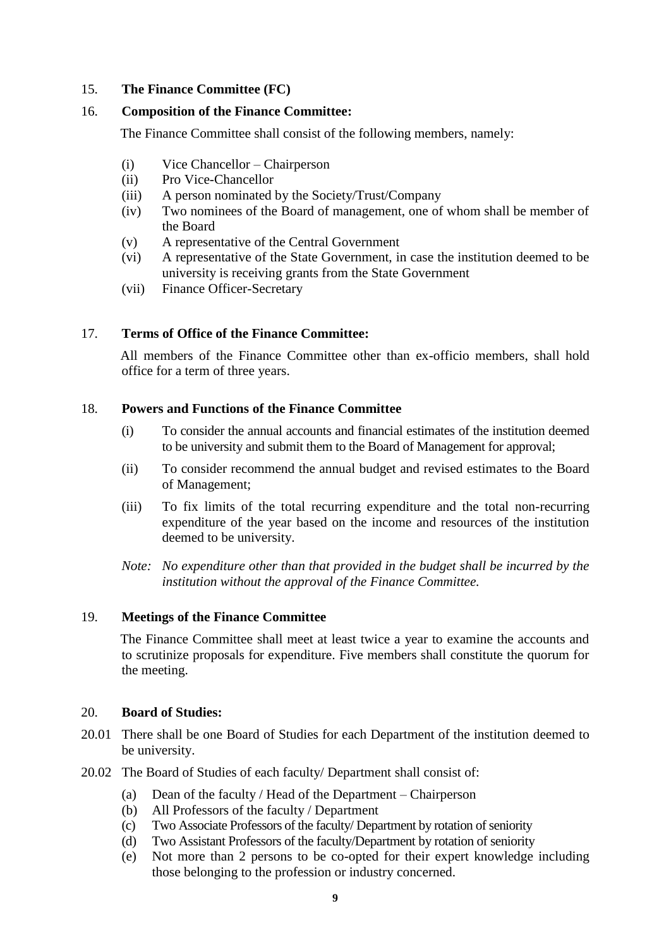## 15. **The Finance Committee (FC)**

### 16. **Composition of the Finance Committee:**

The Finance Committee shall consist of the following members, namely:

- (i) Vice Chancellor Chairperson
- (ii) Pro Vice-Chancellor
- (iii) A person nominated by the Society/Trust/Company
- (iv) Two nominees of the Board of management, one of whom shall be member of the Board
- (v) A representative of the Central Government
- (vi) A representative of the State Government, in case the institution deemed to be university is receiving grants from the State Government
- (vii) Finance Officer-Secretary

## 17. **Terms of Office of the Finance Committee:**

All members of the Finance Committee other than ex-officio members, shall hold office for a term of three years.

#### 18. **Powers and Functions of the Finance Committee**

- (i) To consider the annual accounts and financial estimates of the institution deemed to be university and submit them to the Board of Management for approval;
- (ii) To consider recommend the annual budget and revised estimates to the Board of Management;
- (iii) To fix limits of the total recurring expenditure and the total non-recurring expenditure of the year based on the income and resources of the institution deemed to be university.
- *Note: No expenditure other than that provided in the budget shall be incurred by the institution without the approval of the Finance Committee.*

# 19. **Meetings of the Finance Committee**

The Finance Committee shall meet at least twice a year to examine the accounts and to scrutinize proposals for expenditure. Five members shall constitute the quorum for the meeting.

#### 20. **Board of Studies:**

- 20.01 There shall be one Board of Studies for each Department of the institution deemed to be university.
- 20.02 The Board of Studies of each faculty/ Department shall consist of:
	- (a) Dean of the faculty / Head of the Department Chairperson
	- (b) All Professors of the faculty / Department
	- (c) Two Associate Professors of the faculty/ Department by rotation of seniority
	- (d) Two Assistant Professors of the faculty/Department by rotation of seniority
	- (e) Not more than 2 persons to be co-opted for their expert knowledge including those belonging to the profession or industry concerned.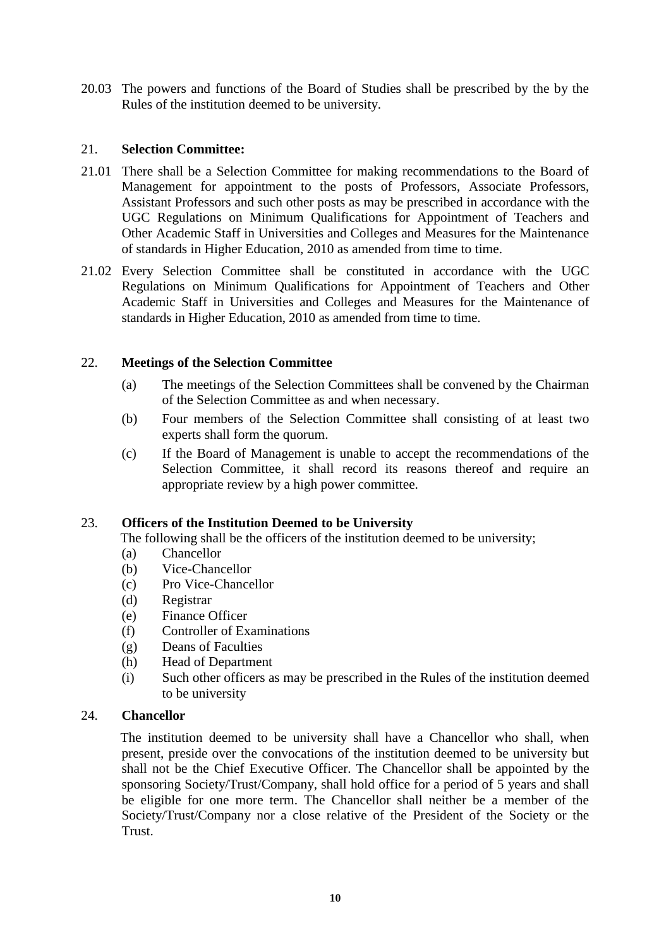20.03 The powers and functions of the Board of Studies shall be prescribed by the by the Rules of the institution deemed to be university.

### 21. **Selection Committee:**

- 21.01 There shall be a Selection Committee for making recommendations to the Board of Management for appointment to the posts of Professors, Associate Professors, Assistant Professors and such other posts as may be prescribed in accordance with the UGC Regulations on Minimum Qualifications for Appointment of Teachers and Other Academic Staff in Universities and Colleges and Measures for the Maintenance of standards in Higher Education, 2010 as amended from time to time.
- 21.02 Every Selection Committee shall be constituted in accordance with the UGC Regulations on Minimum Qualifications for Appointment of Teachers and Other Academic Staff in Universities and Colleges and Measures for the Maintenance of standards in Higher Education, 2010 as amended from time to time.

## 22. **Meetings of the Selection Committee**

- (a) The meetings of the Selection Committees shall be convened by the Chairman of the Selection Committee as and when necessary.
- (b) Four members of the Selection Committee shall consisting of at least two experts shall form the quorum.
- (c) If the Board of Management is unable to accept the recommendations of the Selection Committee, it shall record its reasons thereof and require an appropriate review by a high power committee.

# 23. **Officers of the Institution Deemed to be University**

The following shall be the officers of the institution deemed to be university;

- (a) Chancellor
- (b) Vice-Chancellor
- (c) Pro Vice-Chancellor
- (d) Registrar
- (e) Finance Officer
- (f) Controller of Examinations
- (g) Deans of Faculties
- (h) Head of Department
- (i) Such other officers as may be prescribed in the Rules of the institution deemed to be university

#### 24. **Chancellor**

The institution deemed to be university shall have a Chancellor who shall, when present, preside over the convocations of the institution deemed to be university but shall not be the Chief Executive Officer. The Chancellor shall be appointed by the sponsoring Society/Trust/Company, shall hold office for a period of 5 years and shall be eligible for one more term. The Chancellor shall neither be a member of the Society/Trust/Company nor a close relative of the President of the Society or the Trust.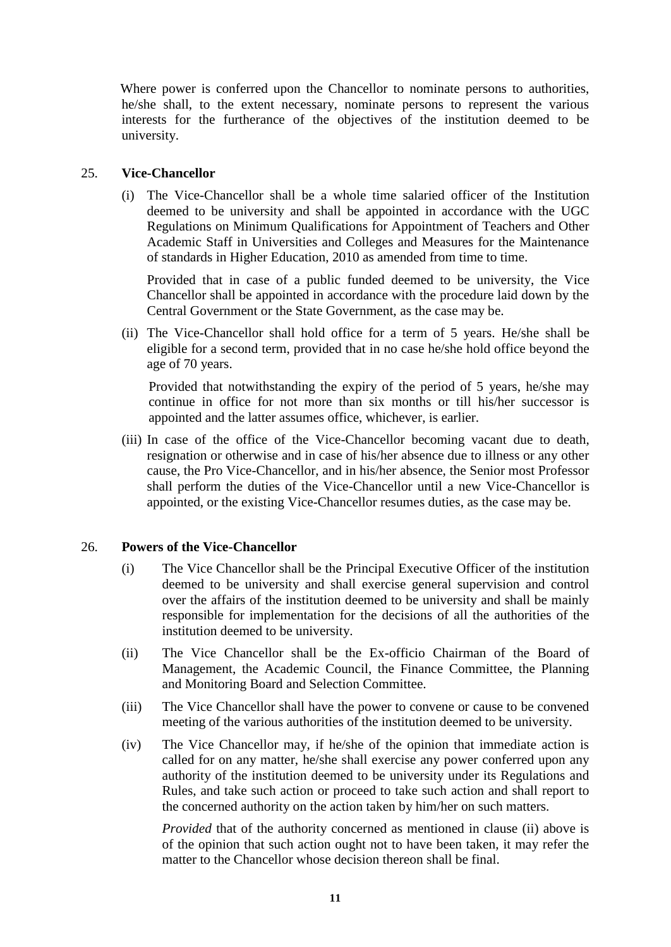Where power is conferred upon the Chancellor to nominate persons to authorities, he/she shall, to the extent necessary, nominate persons to represent the various interests for the furtherance of the objectives of the institution deemed to be university.

### 25. **Vice-Chancellor**

(i) The Vice-Chancellor shall be a whole time salaried officer of the Institution deemed to be university and shall be appointed in accordance with the UGC Regulations on Minimum Qualifications for Appointment of Teachers and Other Academic Staff in Universities and Colleges and Measures for the Maintenance of standards in Higher Education, 2010 as amended from time to time.

Provided that in case of a public funded deemed to be university, the Vice Chancellor shall be appointed in accordance with the procedure laid down by the Central Government or the State Government, as the case may be.

(ii) The Vice-Chancellor shall hold office for a term of 5 years. He/she shall be eligible for a second term, provided that in no case he/she hold office beyond the age of 70 years.

Provided that notwithstanding the expiry of the period of 5 years, he/she may continue in office for not more than six months or till his/her successor is appointed and the latter assumes office, whichever, is earlier.

(iii) In case of the office of the Vice-Chancellor becoming vacant due to death, resignation or otherwise and in case of his/her absence due to illness or any other cause, the Pro Vice-Chancellor, and in his/her absence, the Senior most Professor shall perform the duties of the Vice-Chancellor until a new Vice-Chancellor is appointed, or the existing Vice-Chancellor resumes duties, as the case may be.

#### 26. **Powers of the Vice-Chancellor**

- (i) The Vice Chancellor shall be the Principal Executive Officer of the institution deemed to be university and shall exercise general supervision and control over the affairs of the institution deemed to be university and shall be mainly responsible for implementation for the decisions of all the authorities of the institution deemed to be university.
- (ii) The Vice Chancellor shall be the Ex-officio Chairman of the Board of Management, the Academic Council, the Finance Committee, the Planning and Monitoring Board and Selection Committee.
- (iii) The Vice Chancellor shall have the power to convene or cause to be convened meeting of the various authorities of the institution deemed to be university.
- (iv) The Vice Chancellor may, if he/she of the opinion that immediate action is called for on any matter, he/she shall exercise any power conferred upon any authority of the institution deemed to be university under its Regulations and Rules, and take such action or proceed to take such action and shall report to the concerned authority on the action taken by him/her on such matters.

*Provided* that of the authority concerned as mentioned in clause (ii) above is of the opinion that such action ought not to have been taken, it may refer the matter to the Chancellor whose decision thereon shall be final.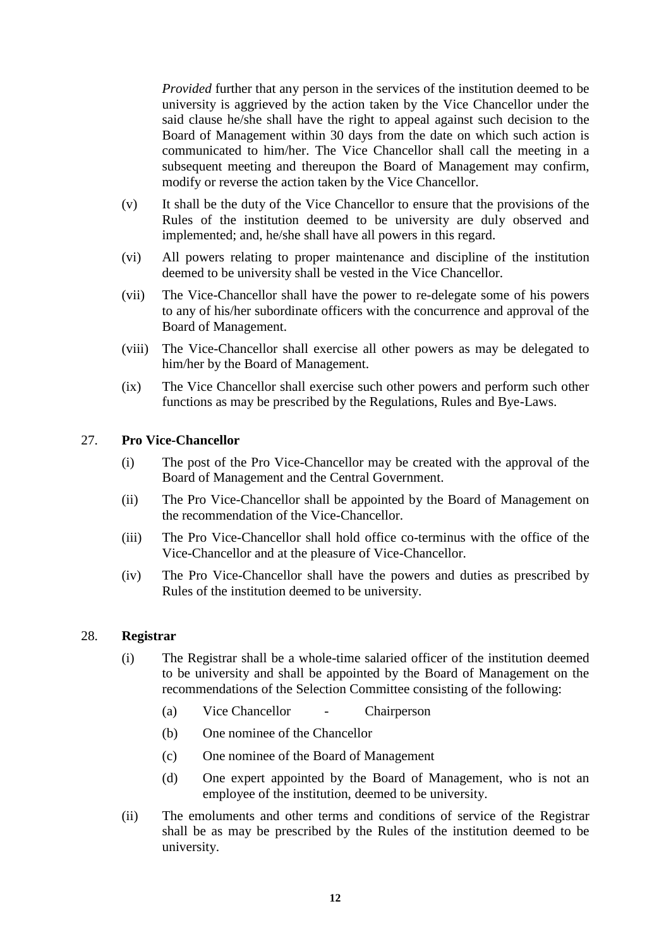*Provided* further that any person in the services of the institution deemed to be university is aggrieved by the action taken by the Vice Chancellor under the said clause he/she shall have the right to appeal against such decision to the Board of Management within 30 days from the date on which such action is communicated to him/her. The Vice Chancellor shall call the meeting in a subsequent meeting and thereupon the Board of Management may confirm, modify or reverse the action taken by the Vice Chancellor.

- (v) It shall be the duty of the Vice Chancellor to ensure that the provisions of the Rules of the institution deemed to be university are duly observed and implemented; and, he/she shall have all powers in this regard.
- (vi) All powers relating to proper maintenance and discipline of the institution deemed to be university shall be vested in the Vice Chancellor.
- (vii) The Vice-Chancellor shall have the power to re-delegate some of his powers to any of his/her subordinate officers with the concurrence and approval of the Board of Management.
- (viii) The Vice-Chancellor shall exercise all other powers as may be delegated to him/her by the Board of Management.
- (ix) The Vice Chancellor shall exercise such other powers and perform such other functions as may be prescribed by the Regulations, Rules and Bye-Laws.

#### 27. **Pro Vice-Chancellor**

- (i) The post of the Pro Vice-Chancellor may be created with the approval of the Board of Management and the Central Government.
- (ii) The Pro Vice-Chancellor shall be appointed by the Board of Management on the recommendation of the Vice-Chancellor.
- (iii) The Pro Vice-Chancellor shall hold office co-terminus with the office of the Vice-Chancellor and at the pleasure of Vice-Chancellor.
- (iv) The Pro Vice-Chancellor shall have the powers and duties as prescribed by Rules of the institution deemed to be university.

#### 28. **Registrar**

- (i) The Registrar shall be a whole-time salaried officer of the institution deemed to be university and shall be appointed by the Board of Management on the recommendations of the Selection Committee consisting of the following:
	- (a) Vice Chancellor Chairperson
	- (b) One nominee of the Chancellor
	- (c) One nominee of the Board of Management
	- (d) One expert appointed by the Board of Management, who is not an employee of the institution, deemed to be university.
- (ii) The emoluments and other terms and conditions of service of the Registrar shall be as may be prescribed by the Rules of the institution deemed to be university.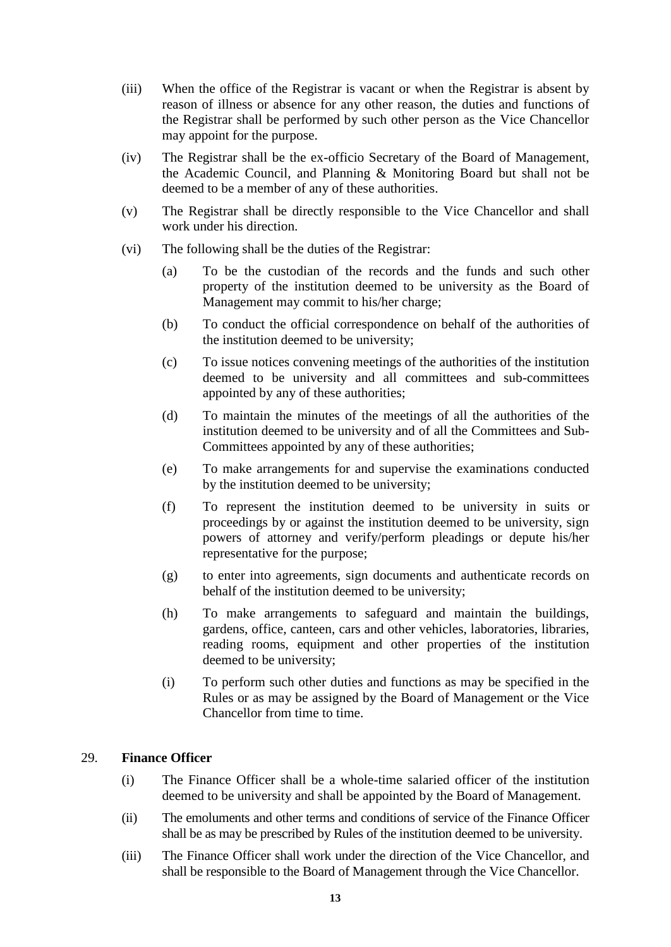- (iii) When the office of the Registrar is vacant or when the Registrar is absent by reason of illness or absence for any other reason, the duties and functions of the Registrar shall be performed by such other person as the Vice Chancellor may appoint for the purpose.
- (iv) The Registrar shall be the ex-officio Secretary of the Board of Management, the Academic Council, and Planning & Monitoring Board but shall not be deemed to be a member of any of these authorities.
- (v) The Registrar shall be directly responsible to the Vice Chancellor and shall work under his direction.
- (vi) The following shall be the duties of the Registrar:
	- (a) To be the custodian of the records and the funds and such other property of the institution deemed to be university as the Board of Management may commit to his/her charge;
	- (b) To conduct the official correspondence on behalf of the authorities of the institution deemed to be university;
	- (c) To issue notices convening meetings of the authorities of the institution deemed to be university and all committees and sub-committees appointed by any of these authorities;
	- (d) To maintain the minutes of the meetings of all the authorities of the institution deemed to be university and of all the Committees and Sub-Committees appointed by any of these authorities;
	- (e) To make arrangements for and supervise the examinations conducted by the institution deemed to be university;
	- (f) To represent the institution deemed to be university in suits or proceedings by or against the institution deemed to be university, sign powers of attorney and verify/perform pleadings or depute his/her representative for the purpose;
	- (g) to enter into agreements, sign documents and authenticate records on behalf of the institution deemed to be university;
	- (h) To make arrangements to safeguard and maintain the buildings, gardens, office, canteen, cars and other vehicles, laboratories, libraries, reading rooms, equipment and other properties of the institution deemed to be university;
	- (i) To perform such other duties and functions as may be specified in the Rules or as may be assigned by the Board of Management or the Vice Chancellor from time to time.

#### 29. **Finance Officer**

- (i) The Finance Officer shall be a whole-time salaried officer of the institution deemed to be university and shall be appointed by the Board of Management.
- (ii) The emoluments and other terms and conditions of service of the Finance Officer shall be as may be prescribed by Rules of the institution deemed to be university.
- (iii) The Finance Officer shall work under the direction of the Vice Chancellor, and shall be responsible to the Board of Management through the Vice Chancellor.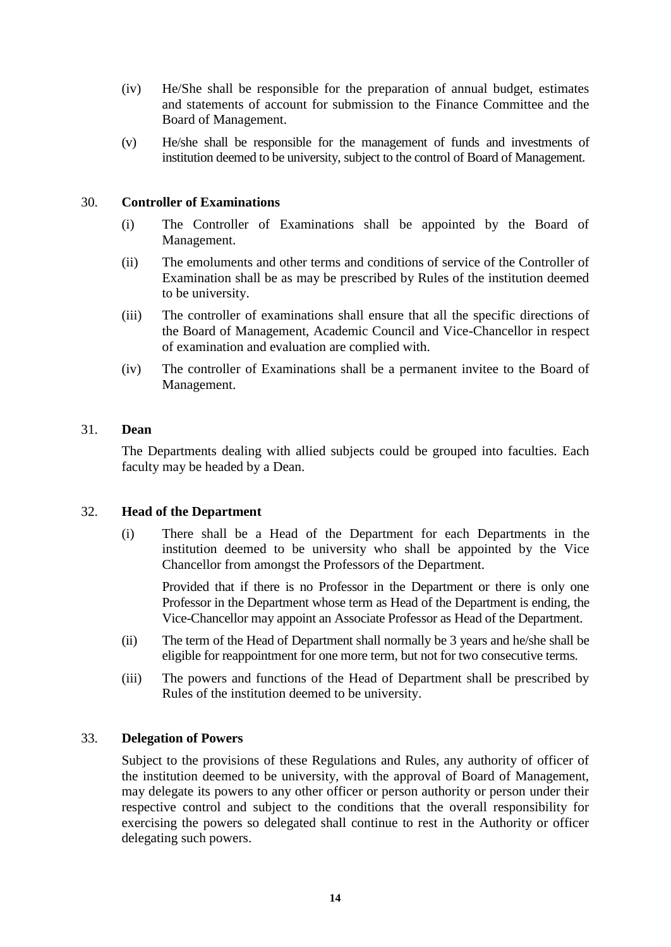- (iv) He/She shall be responsible for the preparation of annual budget, estimates and statements of account for submission to the Finance Committee and the Board of Management.
- (v) He/she shall be responsible for the management of funds and investments of institution deemed to be university, subject to the control of Board of Management.

### 30. **Controller of Examinations**

- (i) The Controller of Examinations shall be appointed by the Board of Management.
- (ii) The emoluments and other terms and conditions of service of the Controller of Examination shall be as may be prescribed by Rules of the institution deemed to be university.
- (iii) The controller of examinations shall ensure that all the specific directions of the Board of Management, Academic Council and Vice-Chancellor in respect of examination and evaluation are complied with.
- (iv) The controller of Examinations shall be a permanent invitee to the Board of Management.

#### 31. **Dean**

The Departments dealing with allied subjects could be grouped into faculties. Each faculty may be headed by a Dean.

#### 32. **Head of the Department**

(i) There shall be a Head of the Department for each Departments in the institution deemed to be university who shall be appointed by the Vice Chancellor from amongst the Professors of the Department.

Provided that if there is no Professor in the Department or there is only one Professor in the Department whose term as Head of the Department is ending, the Vice-Chancellor may appoint an Associate Professor as Head of the Department.

- (ii) The term of the Head of Department shall normally be 3 years and he/she shall be eligible for reappointment for one more term, but not for two consecutive terms.
- (iii) The powers and functions of the Head of Department shall be prescribed by Rules of the institution deemed to be university.

#### 33. **Delegation of Powers**

Subject to the provisions of these Regulations and Rules, any authority of officer of the institution deemed to be university, with the approval of Board of Management, may delegate its powers to any other officer or person authority or person under their respective control and subject to the conditions that the overall responsibility for exercising the powers so delegated shall continue to rest in the Authority or officer delegating such powers.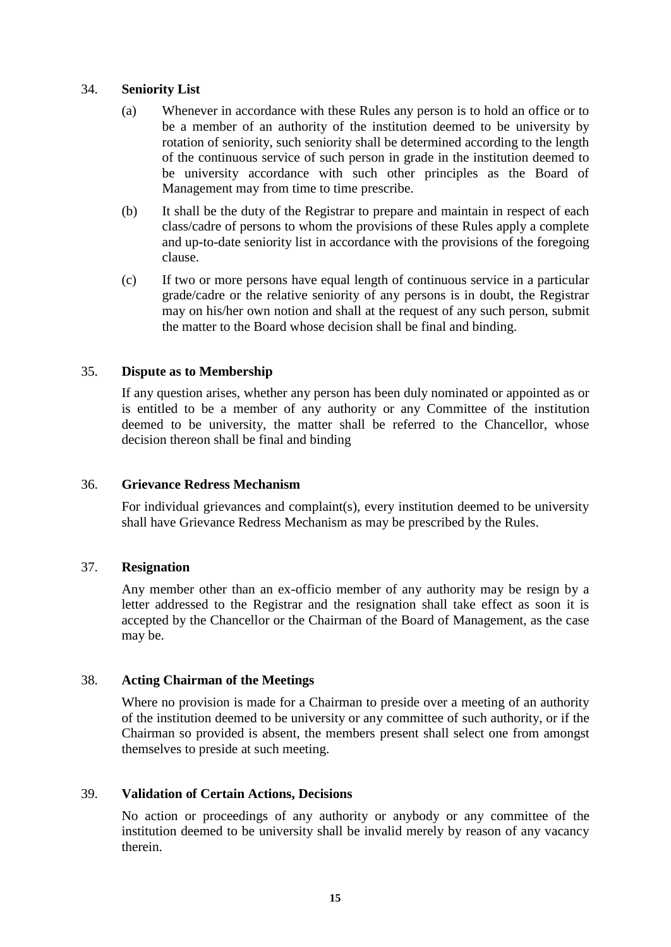#### 34. **Seniority List**

- (a) Whenever in accordance with these Rules any person is to hold an office or to be a member of an authority of the institution deemed to be university by rotation of seniority, such seniority shall be determined according to the length of the continuous service of such person in grade in the institution deemed to be university accordance with such other principles as the Board of Management may from time to time prescribe.
- (b) It shall be the duty of the Registrar to prepare and maintain in respect of each class/cadre of persons to whom the provisions of these Rules apply a complete and up-to-date seniority list in accordance with the provisions of the foregoing clause.
- (c) If two or more persons have equal length of continuous service in a particular grade/cadre or the relative seniority of any persons is in doubt, the Registrar may on his/her own notion and shall at the request of any such person, submit the matter to the Board whose decision shall be final and binding.

#### 35. **Dispute as to Membership**

If any question arises, whether any person has been duly nominated or appointed as or is entitled to be a member of any authority or any Committee of the institution deemed to be university, the matter shall be referred to the Chancellor, whose decision thereon shall be final and binding

#### 36. **Grievance Redress Mechanism**

For individual grievances and complaint(s), every institution deemed to be university shall have Grievance Redress Mechanism as may be prescribed by the Rules.

#### 37. **Resignation**

Any member other than an ex-officio member of any authority may be resign by a letter addressed to the Registrar and the resignation shall take effect as soon it is accepted by the Chancellor or the Chairman of the Board of Management, as the case may be.

#### 38. **Acting Chairman of the Meetings**

Where no provision is made for a Chairman to preside over a meeting of an authority of the institution deemed to be university or any committee of such authority, or if the Chairman so provided is absent, the members present shall select one from amongst themselves to preside at such meeting.

#### 39. **Validation of Certain Actions, Decisions**

No action or proceedings of any authority or anybody or any committee of the institution deemed to be university shall be invalid merely by reason of any vacancy therein.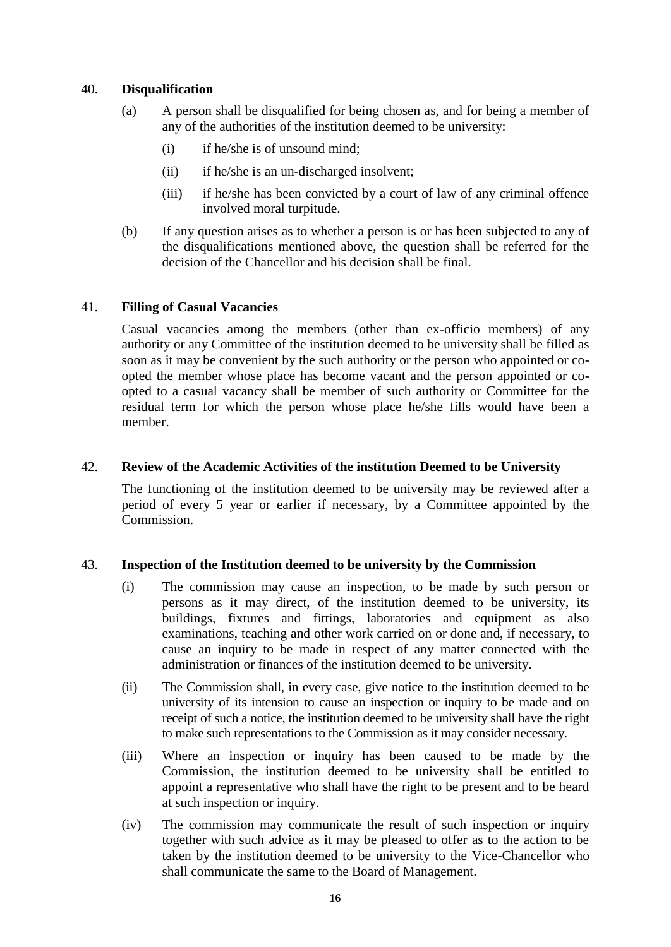### 40. **Disqualification**

- (a) A person shall be disqualified for being chosen as, and for being a member of any of the authorities of the institution deemed to be university:
	- (i) if he/she is of unsound mind;
	- (ii) if he/she is an un-discharged insolvent;
	- (iii) if he/she has been convicted by a court of law of any criminal offence involved moral turpitude.
- (b) If any question arises as to whether a person is or has been subjected to any of the disqualifications mentioned above, the question shall be referred for the decision of the Chancellor and his decision shall be final.

## 41. **Filling of Casual Vacancies**

Casual vacancies among the members (other than ex-officio members) of any authority or any Committee of the institution deemed to be university shall be filled as soon as it may be convenient by the such authority or the person who appointed or coopted the member whose place has become vacant and the person appointed or coopted to a casual vacancy shall be member of such authority or Committee for the residual term for which the person whose place he/she fills would have been a member.

### 42. **Review of the Academic Activities of the institution Deemed to be University**

The functioning of the institution deemed to be university may be reviewed after a period of every 5 year or earlier if necessary, by a Committee appointed by the Commission.

# 43. **Inspection of the Institution deemed to be university by the Commission**

- (i) The commission may cause an inspection, to be made by such person or persons as it may direct, of the institution deemed to be university, its buildings, fixtures and fittings, laboratories and equipment as also examinations, teaching and other work carried on or done and, if necessary, to cause an inquiry to be made in respect of any matter connected with the administration or finances of the institution deemed to be university.
- (ii) The Commission shall, in every case, give notice to the institution deemed to be university of its intension to cause an inspection or inquiry to be made and on receipt of such a notice, the institution deemed to be university shall have the right to make such representations to the Commission as it may consider necessary.
- (iii) Where an inspection or inquiry has been caused to be made by the Commission, the institution deemed to be university shall be entitled to appoint a representative who shall have the right to be present and to be heard at such inspection or inquiry.
- (iv) The commission may communicate the result of such inspection or inquiry together with such advice as it may be pleased to offer as to the action to be taken by the institution deemed to be university to the Vice-Chancellor who shall communicate the same to the Board of Management.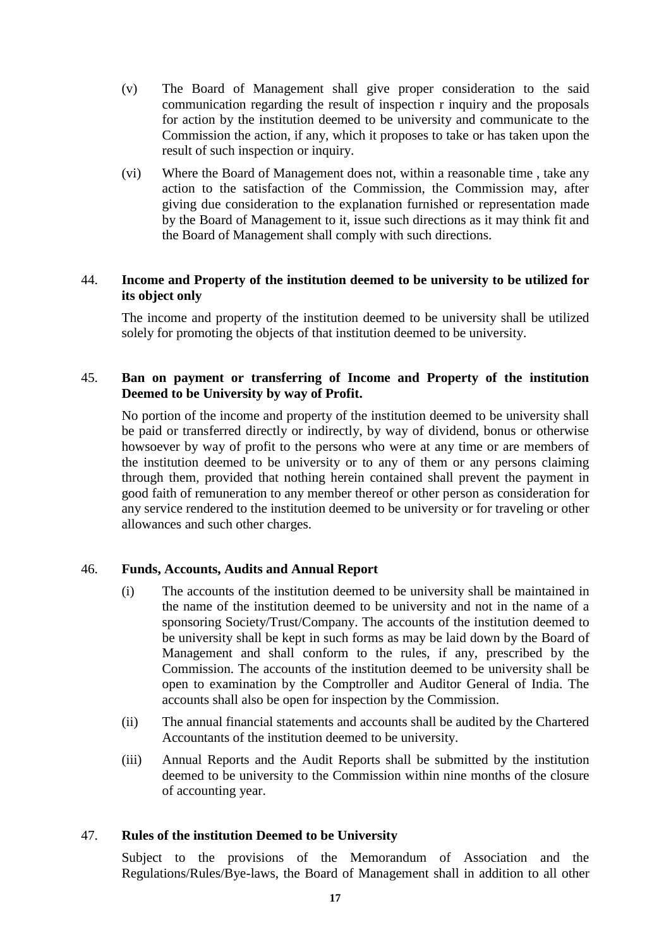- (v) The Board of Management shall give proper consideration to the said communication regarding the result of inspection r inquiry and the proposals for action by the institution deemed to be university and communicate to the Commission the action, if any, which it proposes to take or has taken upon the result of such inspection or inquiry.
- (vi) Where the Board of Management does not, within a reasonable time , take any action to the satisfaction of the Commission, the Commission may, after giving due consideration to the explanation furnished or representation made by the Board of Management to it, issue such directions as it may think fit and the Board of Management shall comply with such directions.

# 44. **Income and Property of the institution deemed to be university to be utilized for its object only**

The income and property of the institution deemed to be university shall be utilized solely for promoting the objects of that institution deemed to be university.

# 45. **Ban on payment or transferring of Income and Property of the institution Deemed to be University by way of Profit.**

No portion of the income and property of the institution deemed to be university shall be paid or transferred directly or indirectly, by way of dividend, bonus or otherwise howsoever by way of profit to the persons who were at any time or are members of the institution deemed to be university or to any of them or any persons claiming through them, provided that nothing herein contained shall prevent the payment in good faith of remuneration to any member thereof or other person as consideration for any service rendered to the institution deemed to be university or for traveling or other allowances and such other charges.

# 46. **Funds, Accounts, Audits and Annual Report**

- (i) The accounts of the institution deemed to be university shall be maintained in the name of the institution deemed to be university and not in the name of a sponsoring Society/Trust/Company. The accounts of the institution deemed to be university shall be kept in such forms as may be laid down by the Board of Management and shall conform to the rules, if any, prescribed by the Commission. The accounts of the institution deemed to be university shall be open to examination by the Comptroller and Auditor General of India. The accounts shall also be open for inspection by the Commission.
- (ii) The annual financial statements and accounts shall be audited by the Chartered Accountants of the institution deemed to be university.
- (iii) Annual Reports and the Audit Reports shall be submitted by the institution deemed to be university to the Commission within nine months of the closure of accounting year.

#### 47. **Rules of the institution Deemed to be University**

Subject to the provisions of the Memorandum of Association and the Regulations/Rules/Bye-laws, the Board of Management shall in addition to all other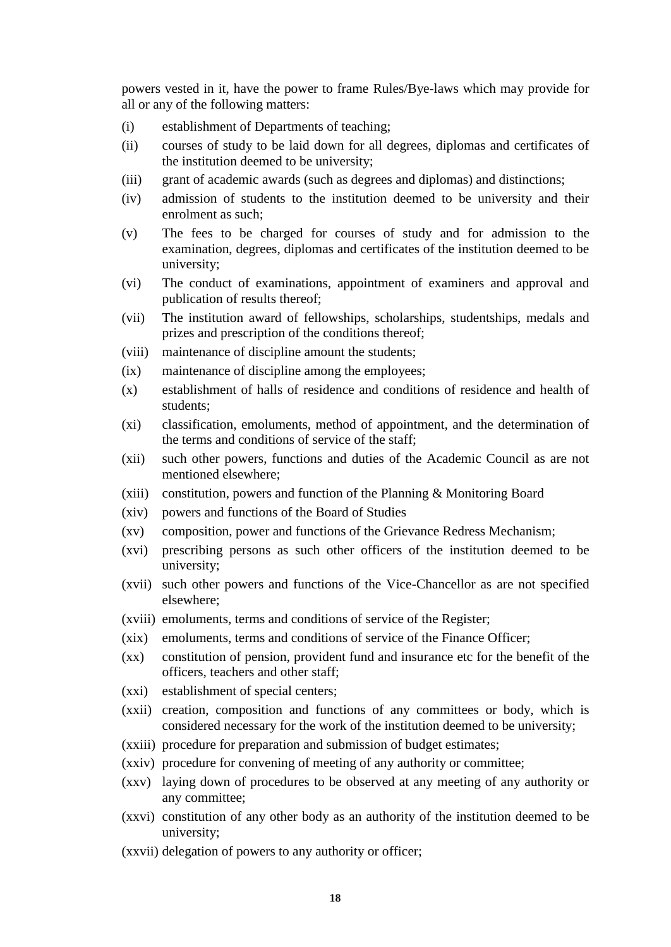powers vested in it, have the power to frame Rules/Bye-laws which may provide for all or any of the following matters:

- (i) establishment of Departments of teaching;
- (ii) courses of study to be laid down for all degrees, diplomas and certificates of the institution deemed to be university;
- (iii) grant of academic awards (such as degrees and diplomas) and distinctions;
- (iv) admission of students to the institution deemed to be university and their enrolment as such;
- (v) The fees to be charged for courses of study and for admission to the examination, degrees, diplomas and certificates of the institution deemed to be university;
- (vi) The conduct of examinations, appointment of examiners and approval and publication of results thereof;
- (vii) The institution award of fellowships, scholarships, studentships, medals and prizes and prescription of the conditions thereof;
- (viii) maintenance of discipline amount the students;
- (ix) maintenance of discipline among the employees;
- (x) establishment of halls of residence and conditions of residence and health of students;
- (xi) classification, emoluments, method of appointment, and the determination of the terms and conditions of service of the staff;
- (xii) such other powers, functions and duties of the Academic Council as are not mentioned elsewhere;
- (xiii) constitution, powers and function of the Planning & Monitoring Board
- (xiv) powers and functions of the Board of Studies
- (xv) composition, power and functions of the Grievance Redress Mechanism;
- (xvi) prescribing persons as such other officers of the institution deemed to be university;
- (xvii) such other powers and functions of the Vice-Chancellor as are not specified elsewhere;
- (xviii) emoluments, terms and conditions of service of the Register;
- (xix) emoluments, terms and conditions of service of the Finance Officer;
- (xx) constitution of pension, provident fund and insurance etc for the benefit of the officers, teachers and other staff;
- (xxi) establishment of special centers;
- (xxii) creation, composition and functions of any committees or body, which is considered necessary for the work of the institution deemed to be university;
- (xxiii) procedure for preparation and submission of budget estimates;
- (xxiv) procedure for convening of meeting of any authority or committee;
- (xxv) laying down of procedures to be observed at any meeting of any authority or any committee;
- (xxvi) constitution of any other body as an authority of the institution deemed to be university;
- (xxvii) delegation of powers to any authority or officer;